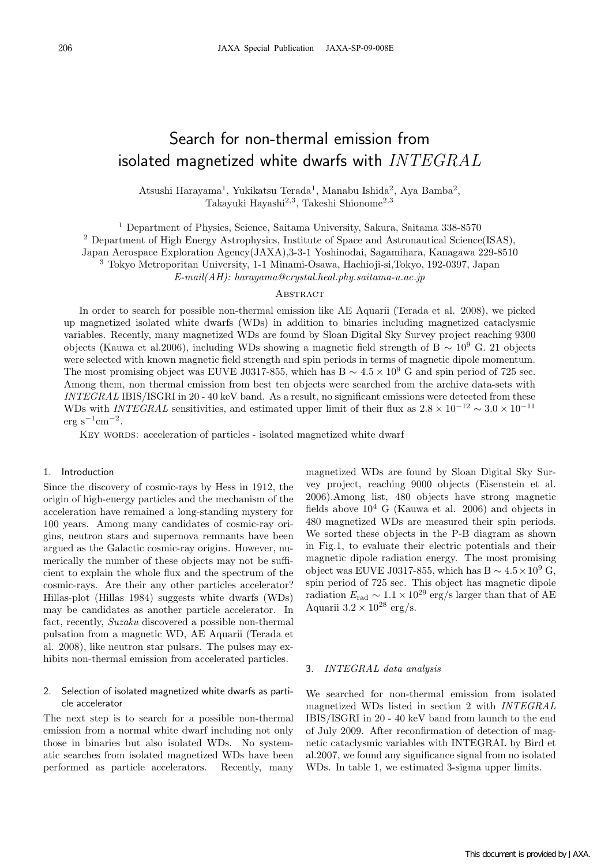# Search for non-thermal emission from isolated magnetized white dwarfs with  $\textit{INTEGRAL}$

Atsushi Harayama<sup>1</sup>, Yukikatsu Terada<sup>1</sup>, Manabu Ishida<sup>2</sup>, Aya Bamba<sup>2</sup>, Takayuki Hayashi<sup>2</sup>,<sup>3</sup>, Takeshi Shionome<sup>2</sup>,<sup>3</sup>

<sup>1</sup> Department of Physics, Science, Saitama University, Sakura, Saitama 338-8570

<sup>2</sup> Department of High Energy Astrophysics, Institute of Space and Astronautical Science(ISAS),

Japan Aerospace Exploration Agency(JAXA),3-3-1 Yoshinodai, Sagamihara, Kanagawa 229-8510

<sup>3</sup> Tokyo Metroporitan University, 1-1 Minami-Osawa, Hachioji-si,Tokyo, 192-0397, Japan

*E-mail(AH): harayama@crystal.heal.phy.saitama-u.ac.jp*

## **ABSTRACT**

In order to search for possible non-thermal emission like AE Aquarii (Terada et al. 2008), we picked up magnetized isolated white dwarfs (WDs) in addition to binaries including magnetized cataclysmic variables. Recently, many magnetized WDs are found by Sloan Digital Sky Survey project reaching 9300 objects (Kauwa et al.2006), including WDs showing a magnetic field strength of B  $\sim 10^9$  G. 21 objects were selected with known magnetic field strength and spin periods in terms of magnetic dipole momentum. The most promising object was EUVE J0317-855, which has B  $\sim 4.5 \times 10^9$  G and spin period of 725 sec. Among them, non thermal emission from best ten objects were searched from the archive data-sets with *INTEGRAL* IBIS/ISGRI in 20 - 40 keV band. As a result, no significant emissions were detected from these WDs with *INTEGRAL* sensitivities, and estimated upper limit of their flux as  $2.8 \times 10^{-12} \sim 3.0 \times 10^{-11}$  $erg s^{-1}cm^{-2}$ .

KEY WORDS: acceleration of particles - isolated magnetized white dwarf

#### 1. Introduction

Since the discovery of cosmic-rays by Hess in 1912, the origin of high-energy particles and the mechanism of the acceleration have remained a long-standing mystery for 100 years. Among many candidates of cosmic-ray origins, neutron stars and supernova remnants have been argued as the Galactic cosmic-ray origins. However, numerically the number of these objects may not be sufficient to explain the whole flux and the spectrum of the cosmic-rays. Are their any other particles accelerator? Hillas-plot (Hillas 1984) suggests white dwarfs (WDs) may be candidates as another particle accelerator. In fact, recently, *Suzaku* discovered a possible non-thermal pulsation from a magnetic WD, AE Aquarii (Terada et al. 2008), like neutron star pulsars. The pulses may exhibits non-thermal emission from accelerated particles.

## 2. Selection of isolated magnetized white dwarfs as particle accelerator

The next step is to search for a possible non-thermal emission from a normal white dwarf including not only those in binaries but also isolated WDs. No systematic searches from isolated magnetized WDs have been performed as particle accelerators. Recently, many magnetized WDs are found by Sloan Digital Sky Survey project, reaching 9000 objects (Eisenstein et al. 2006).Among list, 480 objects have strong magnetic fields above  $10^4$  G (Kauwa et al. 2006) and objects in 480 magnetized WDs are measured their spin periods. We sorted these objects in the P-B diagram as shown in Fig.1, to evaluate their electric potentials and their magnetic dipole radiation energy. The most promising object was EUVE J0317-855, which has B  $\sim 4.5 \times 10^9$  G, spin period of 725 sec. This object has magnetic dipole radiation  $E_{\text{rad}} \sim 1.1 \times 10^{29} \text{ erg/s}$  larger than that of AE Aquarii  $3.2 \times 10^{28}$  erg/s.

#### 3. *INTEGRAL data analysis*

We searched for non-thermal emission from isolated magnetized WDs listed in section 2 with *INTEGRAL* IBIS/ISGRI in 20 - 40 keV band from launch to the end of July 2009. After reconfirmation of detection of magnetic cataclysmic variables with INTEGRAL by Bird et al.2007, we found any significance signal from no isolated WDs. In table 1, we estimated 3-sigma upper limits.